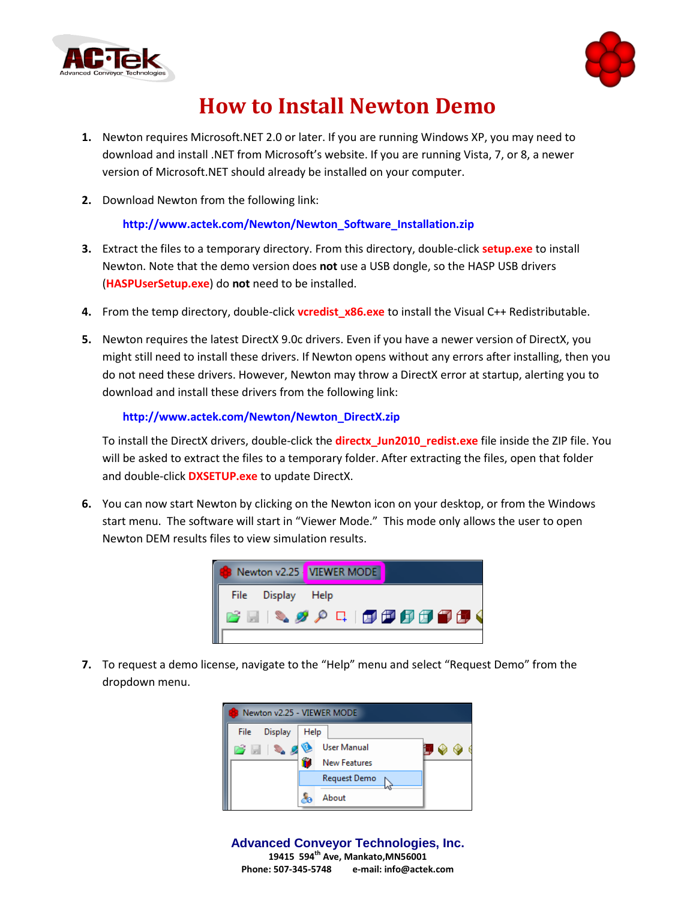



## **How to Install Newton Demo**

- **1.** Newton requires Microsoft.NET 2.0 or later. If you are running Windows XP, you may need to download and install .NET from Microsoft's website. If you are running Vista, 7, or 8, a newer version of Microsoft.NET should already be installed on your computer.
- **2.** Download Newton from the following link:

**[http://www.actek.com/Newton/Newton\\_Software\\_Installation.zip](http://www.actek.com/Newton/Newton_Software_Installation.zip)**

- **3.** Extract the files to a temporary directory. From this directory, double-click **setup.exe** to install Newton. Note that the demo version does **not** use a USB dongle, so the HASP USB drivers (**HASPUserSetup.exe**) do **not** need to be installed.
- **4.** From the temp directory, double-click **vcredist\_x86.exe** to install the Visual C++ Redistributable.
- **5.** Newton requires the latest DirectX 9.0c drivers. Even if you have a newer version of DirectX, you might still need to install these drivers. If Newton opens without any errors after installing, then you do not need these drivers. However, Newton may throw a DirectX error at startup, alerting you to download and install these drivers from the following link:

## **[http://www.actek.com/Newton/Newton\\_DirectX.zip](http://www.actek.com/Newton/Newton_DirectX.zip)**

To install the DirectX drivers, double-click the **directx\_Jun2010\_redist.exe** file inside the ZIP file. You will be asked to extract the files to a temporary folder. After extracting the files, open that folder and double-click **DXSETUP.exe** to update DirectX.

**6.** You can now start Newton by clicking on the Newton icon on your desktop, or from the Windows start menu. The software will start in "Viewer Mode." This mode only allows the user to open Newton DEM results files to view simulation results.



**7.** To request a demo license, navigate to the "Help" menu and select "Request Demo" from the dropdown menu.



**Advanced Conveyor Technologies, Inc. 19415 594th Ave, Mankato,MN56001 Phone: 507-345-5748 e-mail: info@actek.com**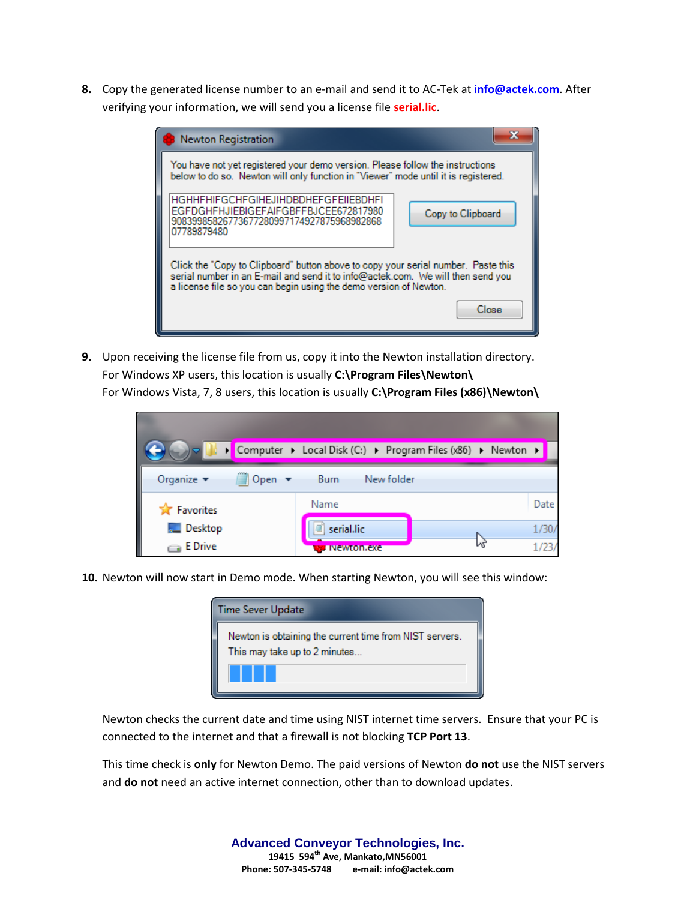**8.** Copy the generated license number to an e-mail and send it to AC-Tek at **[info@actek.com](mailto:info@actek.com)**. After verifying your information, we will send you a license file **serial.lic**.



**9.** Upon receiving the license file from us, copy it into the Newton installation directory. For Windows XP users, this location is usually **C:\Program Files\Newton\** For Windows Vista, 7, 8 users, this location is usually **C:\Program Files (x86)\Newton\**



**10.** Newton will now start in Demo mode. When starting Newton, you will see this window:



Newton checks the current date and time using NIST internet time servers. Ensure that your PC is connected to the internet and that a firewall is not blocking **TCP Port 13**.

This time check is **only** for Newton Demo. The paid versions of Newton **do not** use the NIST servers and **do not** need an active internet connection, other than to download updates.